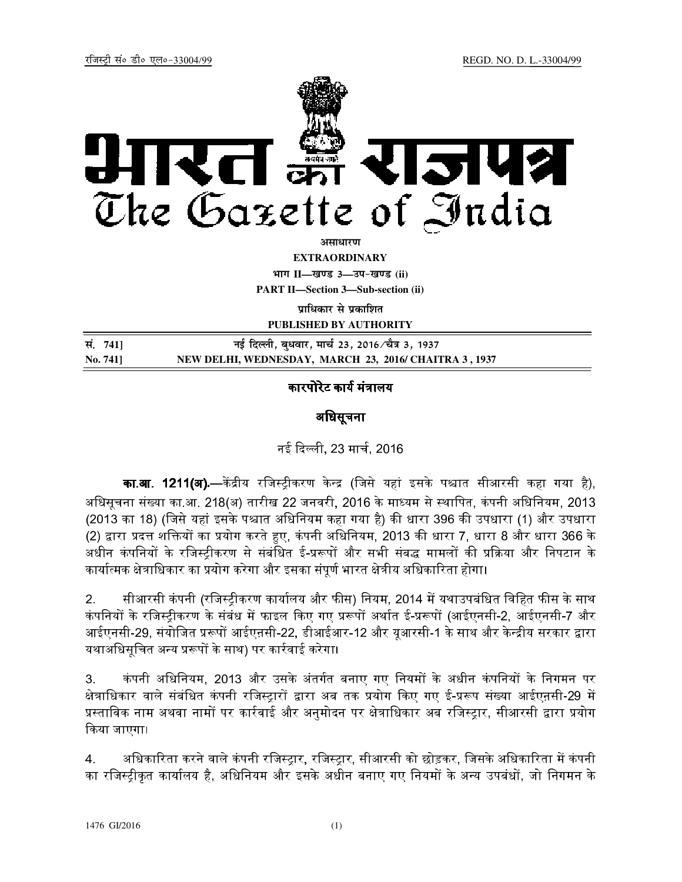

<u>असाधारण</u>

**EXTRAORDINARY**

**Hkkx II—[k.M 3—mi&[k.M (ii) PART II—Section 3—Sub-section (ii)** 

**पाधिकार से प्रकाशित** 

**PUBLISHED BY AUTHORITY**

| सं. 7411        | नई दिल्ली, बुधवार, मार्च 23, 2016 ∕चैत्र 3, 1937      |
|-----------------|-------------------------------------------------------|
| <b>No. 7411</b> | NEW DELHI, WEDNESDAY, MARCH 23, 2016/ CHAITRA 3, 1937 |

### कारपोरेट कार्य मंत्रालय

# अधिसूचना

## नई दली, 23 माच
, 2016

**का.आ. 1211(अ).—**केंद्रीय रजिस्ट्रीकरण केन्द्र (जिसे यहां इसके पश्चात सीआरसी कहा गया है), अधिसूचना संख्या का.आ. 218(अ) तारीख 22 जनवरी, 2016 के माध्यम से स्थापित, कंपनी अधिनियम, 2013 (2013 का 18) (जिसे यहां इसके पश्चात अधिनियम कहा गया है) की धारा 396 की उपधारा (1) और उपधारा (2) द्वारा प्रदत्त शक्तियों का प्रयोग करते हुए, कंपनी अधिनियम, 2013 की धारा 7, धारा 8 और धारा 366 के अधीन कंपनियों के रजिस्टीकरण से संबंधित ई-प्ररूपों और सभी संबद्ध मामलों की प्रक्रिया और निपटान के कार्यात्मक क्षेत्राधिकार का प्रयोग करेगा और इसका संपूर्ण भारत क्षेत्रीय अधिकारिता होगा।

2. सीआरसी कंपनी (रजिस्टीकरण कार्यालय और फीस) नियम, 2014 में यथाउपबंधित विहित फीस के साथ कंपनियों के रजिस्ट्रीकरण के संबंध में फाइल किए गए प्ररूपों अर्थात ई-प्ररूपों (आईएनसी-2, आईएनसी-7 और आईएनसी-29, संयोजित प्ररूपों आईएऩसी-22, डीआईआर-12 और यूआरसी-1 के साथ और केन्द्रीय सरकार द्वारा यथाअधिसूचित अन्य प्ररूपों के साथ) पर कार्रवाई करेगा।

3. कंपनी अधिनियम, 2013 और उसके अंतर्गत बनाए गए नियमों के अधीन कंपनियों के निगमन पर क्षेत्राधिकार वाले संबंधित कंपनी रजिस्ट्रारों द्वारा अब तक प्रयोग किए गए ई-प्ररूप संख्या आईएऩसी-29 में प्रस्ताविक नाम अथवा नामों पर कार्रवाई और अनुमोदन पर क्षेत्राधिकार अब रजिस्ट्रार, सीआरसी द्वारा प्रयोग कया जाएगा।

4. अधिकारिता करने वाले कंपनी रजिस्टार, रजिस्टार, सीआरसी को छोड़कर, जिसके अधिकारिता में कंपनी का रजिस्ट्रीकृत कार्यालय है, अधिनियम और इसके अधीन बनाए गए नियमों के अन्य उपबंधों, जो निगमन के